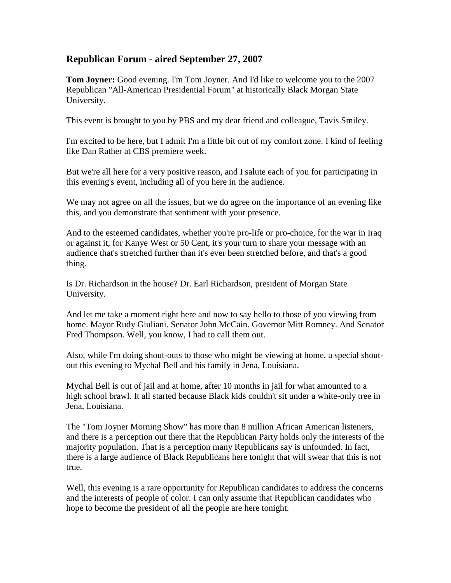## **Republican Forum - aired September 27, 2007**

**Tom Joyner:** Good evening. I'm Tom Joyner. And I'd like to welcome you to the 2007 Republican "All-American Presidential Forum" at historically Black Morgan State University.

This event is brought to you by PBS and my dear friend and colleague, Tavis Smiley.

I'm excited to be here, but I admit I'm a little bit out of my comfort zone. I kind of feeling like Dan Rather at CBS premiere week.

But we're all here for a very positive reason, and I salute each of you for participating in this evening's event, including all of you here in the audience.

We may not agree on all the issues, but we do agree on the importance of an evening like this, and you demonstrate that sentiment with your presence.

And to the esteemed candidates, whether you're pro-life or pro-choice, for the war in Iraq or against it, for Kanye West or 50 Cent, it's your turn to share your message with an audience that's stretched further than it's ever been stretched before, and that's a good thing.

Is Dr. Richardson in the house? Dr. Earl Richardson, president of Morgan State University.

And let me take a moment right here and now to say hello to those of you viewing from home. Mayor Rudy Giuliani. Senator John McCain. Governor Mitt Romney. And Senator Fred Thompson. Well, you know, I had to call them out.

Also, while I'm doing shout-outs to those who might be viewing at home, a special shoutout this evening to Mychal Bell and his family in Jena, Louisiana.

Mychal Bell is out of jail and at home, after 10 months in jail for what amounted to a high school brawl. It all started because Black kids couldn't sit under a white-only tree in Jena, Louisiana.

The "Tom Joyner Morning Show" has more than 8 million African American listeners, and there is a perception out there that the Republican Party holds only the interests of the majority population. That is a perception many Republicans say is unfounded. In fact, there is a large audience of Black Republicans here tonight that will swear that this is not true.

Well, this evening is a rare opportunity for Republican candidates to address the concerns and the interests of people of color. I can only assume that Republican candidates who hope to become the president of all the people are here tonight.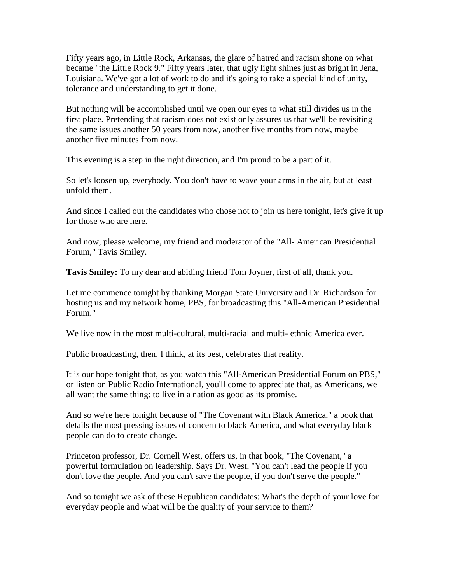Fifty years ago, in Little Rock, Arkansas, the glare of hatred and racism shone on what became "the Little Rock 9." Fifty years later, that ugly light shines just as bright in Jena, Louisiana. We've got a lot of work to do and it's going to take a special kind of unity, tolerance and understanding to get it done.

But nothing will be accomplished until we open our eyes to what still divides us in the first place. Pretending that racism does not exist only assures us that we'll be revisiting the same issues another 50 years from now, another five months from now, maybe another five minutes from now.

This evening is a step in the right direction, and I'm proud to be a part of it.

So let's loosen up, everybody. You don't have to wave your arms in the air, but at least unfold them.

And since I called out the candidates who chose not to join us here tonight, let's give it up for those who are here.

And now, please welcome, my friend and moderator of the "All- American Presidential Forum," Tavis Smiley.

**Tavis Smiley:** To my dear and abiding friend Tom Joyner, first of all, thank you.

Let me commence tonight by thanking Morgan State University and Dr. Richardson for hosting us and my network home, PBS, for broadcasting this "All-American Presidential Forum."

We live now in the most multi-cultural, multi-racial and multi- ethnic America ever.

Public broadcasting, then, I think, at its best, celebrates that reality.

It is our hope tonight that, as you watch this "All-American Presidential Forum on PBS," or listen on Public Radio International, you'll come to appreciate that, as Americans, we all want the same thing: to live in a nation as good as its promise.

And so we're here tonight because of "The Covenant with Black America," a book that details the most pressing issues of concern to black America, and what everyday black people can do to create change.

Princeton professor, Dr. Cornell West, offers us, in that book, "The Covenant," a powerful formulation on leadership. Says Dr. West, "You can't lead the people if you don't love the people. And you can't save the people, if you don't serve the people."

And so tonight we ask of these Republican candidates: What's the depth of your love for everyday people and what will be the quality of your service to them?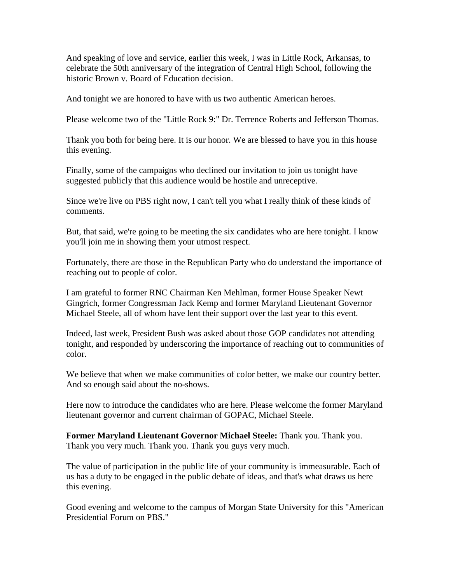And speaking of love and service, earlier this week, I was in Little Rock, Arkansas, to celebrate the 50th anniversary of the integration of Central High School, following the historic Brown v. Board of Education decision.

And tonight we are honored to have with us two authentic American heroes.

Please welcome two of the "Little Rock 9:" Dr. Terrence Roberts and Jefferson Thomas.

Thank you both for being here. It is our honor. We are blessed to have you in this house this evening.

Finally, some of the campaigns who declined our invitation to join us tonight have suggested publicly that this audience would be hostile and unreceptive.

Since we're live on PBS right now, I can't tell you what I really think of these kinds of comments.

But, that said, we're going to be meeting the six candidates who are here tonight. I know you'll join me in showing them your utmost respect.

Fortunately, there are those in the Republican Party who do understand the importance of reaching out to people of color.

I am grateful to former RNC Chairman Ken Mehlman, former House Speaker Newt Gingrich, former Congressman Jack Kemp and former Maryland Lieutenant Governor Michael Steele, all of whom have lent their support over the last year to this event.

Indeed, last week, President Bush was asked about those GOP candidates not attending tonight, and responded by underscoring the importance of reaching out to communities of color.

We believe that when we make communities of color better, we make our country better. And so enough said about the no-shows.

Here now to introduce the candidates who are here. Please welcome the former Maryland lieutenant governor and current chairman of GOPAC, Michael Steele.

**Former Maryland Lieutenant Governor Michael Steele:** Thank you. Thank you. Thank you very much. Thank you. Thank you guys very much.

The value of participation in the public life of your community is immeasurable. Each of us has a duty to be engaged in the public debate of ideas, and that's what draws us here this evening.

Good evening and welcome to the campus of Morgan State University for this "American Presidential Forum on PBS."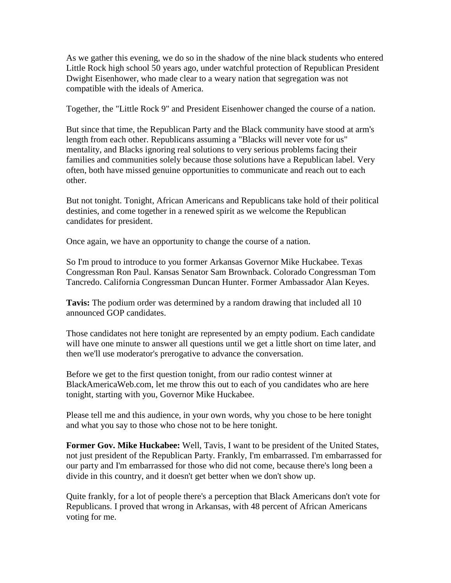As we gather this evening, we do so in the shadow of the nine black students who entered Little Rock high school 50 years ago, under watchful protection of Republican President Dwight Eisenhower, who made clear to a weary nation that segregation was not compatible with the ideals of America.

Together, the "Little Rock 9" and President Eisenhower changed the course of a nation.

But since that time, the Republican Party and the Black community have stood at arm's length from each other. Republicans assuming a "Blacks will never vote for us" mentality, and Blacks ignoring real solutions to very serious problems facing their families and communities solely because those solutions have a Republican label. Very often, both have missed genuine opportunities to communicate and reach out to each other.

But not tonight. Tonight, African Americans and Republicans take hold of their political destinies, and come together in a renewed spirit as we welcome the Republican candidates for president.

Once again, we have an opportunity to change the course of a nation.

So I'm proud to introduce to you former Arkansas Governor Mike Huckabee. Texas Congressman Ron Paul. Kansas Senator Sam Brownback. Colorado Congressman Tom Tancredo. California Congressman Duncan Hunter. Former Ambassador Alan Keyes.

**Tavis:** The podium order was determined by a random drawing that included all 10 announced GOP candidates.

Those candidates not here tonight are represented by an empty podium. Each candidate will have one minute to answer all questions until we get a little short on time later, and then we'll use moderator's prerogative to advance the conversation.

Before we get to the first question tonight, from our radio contest winner at BlackAmericaWeb.com, let me throw this out to each of you candidates who are here tonight, starting with you, Governor Mike Huckabee.

Please tell me and this audience, in your own words, why you chose to be here tonight and what you say to those who chose not to be here tonight.

**Former Gov. Mike Huckabee:** Well, Tavis, I want to be president of the United States, not just president of the Republican Party. Frankly, I'm embarrassed. I'm embarrassed for our party and I'm embarrassed for those who did not come, because there's long been a divide in this country, and it doesn't get better when we don't show up.

Quite frankly, for a lot of people there's a perception that Black Americans don't vote for Republicans. I proved that wrong in Arkansas, with 48 percent of African Americans voting for me.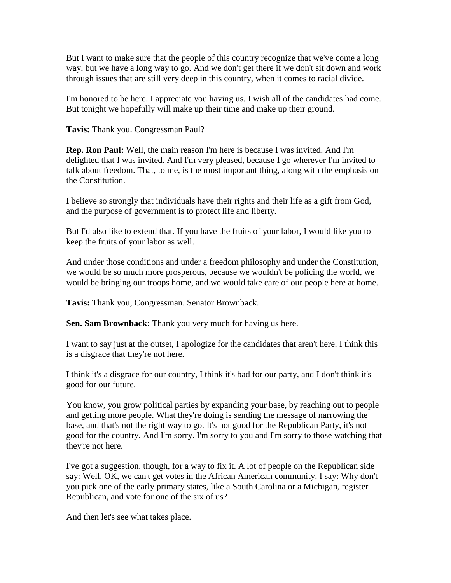But I want to make sure that the people of this country recognize that we've come a long way, but we have a long way to go. And we don't get there if we don't sit down and work through issues that are still very deep in this country, when it comes to racial divide.

I'm honored to be here. I appreciate you having us. I wish all of the candidates had come. But tonight we hopefully will make up their time and make up their ground.

**Tavis:** Thank you. Congressman Paul?

**Rep. Ron Paul:** Well, the main reason I'm here is because I was invited. And I'm delighted that I was invited. And I'm very pleased, because I go wherever I'm invited to talk about freedom. That, to me, is the most important thing, along with the emphasis on the Constitution.

I believe so strongly that individuals have their rights and their life as a gift from God, and the purpose of government is to protect life and liberty.

But I'd also like to extend that. If you have the fruits of your labor, I would like you to keep the fruits of your labor as well.

And under those conditions and under a freedom philosophy and under the Constitution, we would be so much more prosperous, because we wouldn't be policing the world, we would be bringing our troops home, and we would take care of our people here at home.

**Tavis:** Thank you, Congressman. Senator Brownback.

**Sen. Sam Brownback:** Thank you very much for having us here.

I want to say just at the outset, I apologize for the candidates that aren't here. I think this is a disgrace that they're not here.

I think it's a disgrace for our country, I think it's bad for our party, and I don't think it's good for our future.

You know, you grow political parties by expanding your base, by reaching out to people and getting more people. What they're doing is sending the message of narrowing the base, and that's not the right way to go. It's not good for the Republican Party, it's not good for the country. And I'm sorry. I'm sorry to you and I'm sorry to those watching that they're not here.

I've got a suggestion, though, for a way to fix it. A lot of people on the Republican side say: Well, OK, we can't get votes in the African American community. I say: Why don't you pick one of the early primary states, like a South Carolina or a Michigan, register Republican, and vote for one of the six of us?

And then let's see what takes place.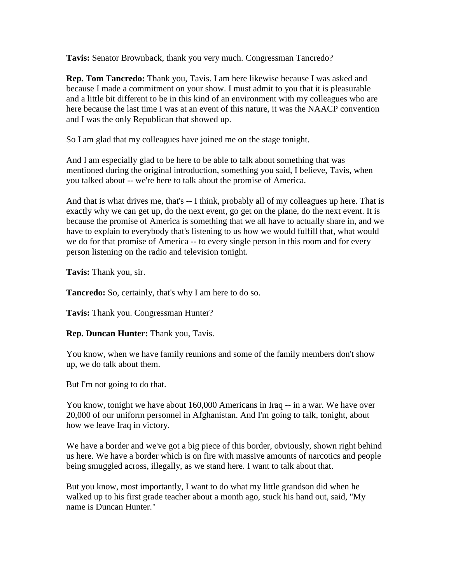**Tavis:** Senator Brownback, thank you very much. Congressman Tancredo?

**Rep. Tom Tancredo:** Thank you, Tavis. I am here likewise because I was asked and because I made a commitment on your show. I must admit to you that it is pleasurable and a little bit different to be in this kind of an environment with my colleagues who are here because the last time I was at an event of this nature, it was the NAACP convention and I was the only Republican that showed up.

So I am glad that my colleagues have joined me on the stage tonight.

And I am especially glad to be here to be able to talk about something that was mentioned during the original introduction, something you said, I believe, Tavis, when you talked about -- we're here to talk about the promise of America.

And that is what drives me, that's -- I think, probably all of my colleagues up here. That is exactly why we can get up, do the next event, go get on the plane, do the next event. It is because the promise of America is something that we all have to actually share in, and we have to explain to everybody that's listening to us how we would fulfill that, what would we do for that promise of America -- to every single person in this room and for every person listening on the radio and television tonight.

**Tavis:** Thank you, sir.

**Tancredo:** So, certainly, that's why I am here to do so.

**Tavis:** Thank you. Congressman Hunter?

**Rep. Duncan Hunter:** Thank you, Tavis.

You know, when we have family reunions and some of the family members don't show up, we do talk about them.

But I'm not going to do that.

You know, tonight we have about 160,000 Americans in Iraq -- in a war. We have over 20,000 of our uniform personnel in Afghanistan. And I'm going to talk, tonight, about how we leave Iraq in victory.

We have a border and we've got a big piece of this border, obviously, shown right behind us here. We have a border which is on fire with massive amounts of narcotics and people being smuggled across, illegally, as we stand here. I want to talk about that.

But you know, most importantly, I want to do what my little grandson did when he walked up to his first grade teacher about a month ago, stuck his hand out, said, "My name is Duncan Hunter."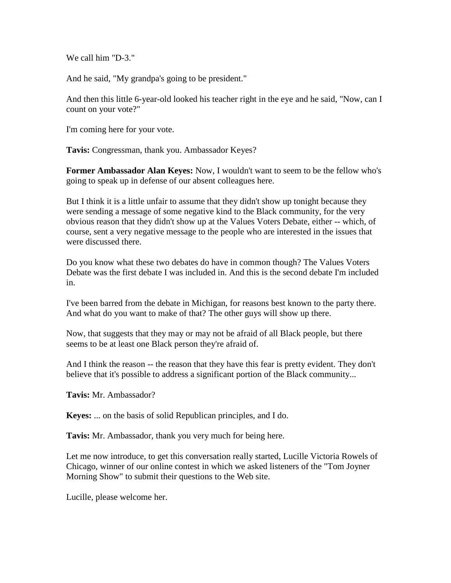We call him "D-3."

And he said, "My grandpa's going to be president."

And then this little 6-year-old looked his teacher right in the eye and he said, "Now, can I count on your vote?"

I'm coming here for your vote.

**Tavis:** Congressman, thank you. Ambassador Keyes?

**Former Ambassador Alan Keyes:** Now, I wouldn't want to seem to be the fellow who's going to speak up in defense of our absent colleagues here.

But I think it is a little unfair to assume that they didn't show up tonight because they were sending a message of some negative kind to the Black community, for the very obvious reason that they didn't show up at the Values Voters Debate, either -- which, of course, sent a very negative message to the people who are interested in the issues that were discussed there.

Do you know what these two debates do have in common though? The Values Voters Debate was the first debate I was included in. And this is the second debate I'm included in.

I've been barred from the debate in Michigan, for reasons best known to the party there. And what do you want to make of that? The other guys will show up there.

Now, that suggests that they may or may not be afraid of all Black people, but there seems to be at least one Black person they're afraid of.

And I think the reason -- the reason that they have this fear is pretty evident. They don't believe that it's possible to address a significant portion of the Black community...

**Tavis:** Mr. Ambassador?

**Keyes:** ... on the basis of solid Republican principles, and I do.

**Tavis:** Mr. Ambassador, thank you very much for being here.

Let me now introduce, to get this conversation really started, Lucille Victoria Rowels of Chicago, winner of our online contest in which we asked listeners of the "Tom Joyner Morning Show" to submit their questions to the Web site.

Lucille, please welcome her.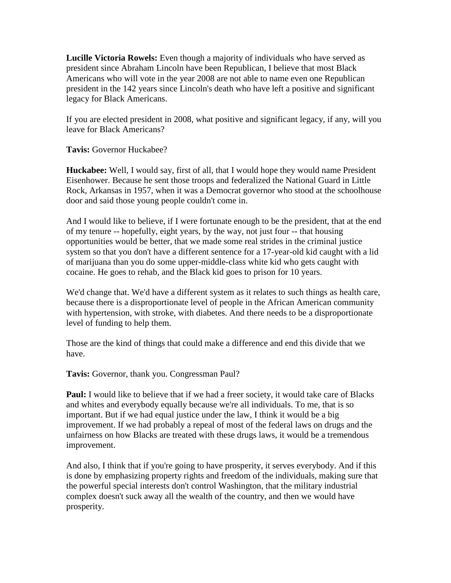**Lucille Victoria Rowels:** Even though a majority of individuals who have served as president since Abraham Lincoln have been Republican, I believe that most Black Americans who will vote in the year 2008 are not able to name even one Republican president in the 142 years since Lincoln's death who have left a positive and significant legacy for Black Americans.

If you are elected president in 2008, what positive and significant legacy, if any, will you leave for Black Americans?

**Tavis:** Governor Huckabee?

**Huckabee:** Well, I would say, first of all, that I would hope they would name President Eisenhower. Because he sent those troops and federalized the National Guard in Little Rock, Arkansas in 1957, when it was a Democrat governor who stood at the schoolhouse door and said those young people couldn't come in.

And I would like to believe, if I were fortunate enough to be the president, that at the end of my tenure -- hopefully, eight years, by the way, not just four -- that housing opportunities would be better, that we made some real strides in the criminal justice system so that you don't have a different sentence for a 17-year-old kid caught with a lid of marijuana than you do some upper-middle-class white kid who gets caught with cocaine. He goes to rehab, and the Black kid goes to prison for 10 years.

We'd change that. We'd have a different system as it relates to such things as health care, because there is a disproportionate level of people in the African American community with hypertension, with stroke, with diabetes. And there needs to be a disproportionate level of funding to help them.

Those are the kind of things that could make a difference and end this divide that we have.

**Tavis:** Governor, thank you. Congressman Paul?

**Paul:** I would like to believe that if we had a freer society, it would take care of Blacks and whites and everybody equally because we're all individuals. To me, that is so important. But if we had equal justice under the law, I think it would be a big improvement. If we had probably a repeal of most of the federal laws on drugs and the unfairness on how Blacks are treated with these drugs laws, it would be a tremendous improvement.

And also, I think that if you're going to have prosperity, it serves everybody. And if this is done by emphasizing property rights and freedom of the individuals, making sure that the powerful special interests don't control Washington, that the military industrial complex doesn't suck away all the wealth of the country, and then we would have prosperity.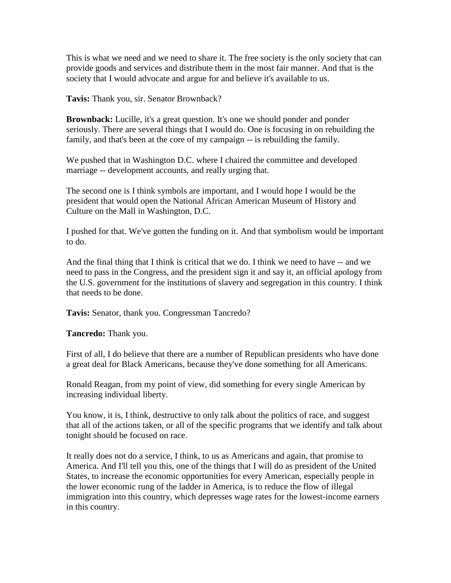This is what we need and we need to share it. The free society is the only society that can provide goods and services and distribute them in the most fair manner. And that is the society that I would advocate and argue for and believe it's available to us.

**Tavis:** Thank you, sir. Senator Brownback?

**Brownback:** Lucille, it's a great question. It's one we should ponder and ponder seriously. There are several things that I would do. One is focusing in on rebuilding the family, and that's been at the core of my campaign -- is rebuilding the family.

We pushed that in Washington D.C. where I chaired the committee and developed marriage -- development accounts, and really urging that.

The second one is I think symbols are important, and I would hope I would be the president that would open the National African American Museum of History and Culture on the Mall in Washington, D.C.

I pushed for that. We've gotten the funding on it. And that symbolism would be important to do.

And the final thing that I think is critical that we do. I think we need to have -- and we need to pass in the Congress, and the president sign it and say it, an official apology from the U.S. government for the institutions of slavery and segregation in this country. I think that needs to be done.

**Tavis:** Senator, thank you. Congressman Tancredo?

**Tancredo:** Thank you.

First of all, I do believe that there are a number of Republican presidents who have done a great deal for Black Americans, because they've done something for all Americans.

Ronald Reagan, from my point of view, did something for every single American by increasing individual liberty.

You know, it is, I think, destructive to only talk about the politics of race, and suggest that all of the actions taken, or all of the specific programs that we identify and talk about tonight should be focused on race.

It really does not do a service, I think, to us as Americans and again, that promise to America. And I'll tell you this, one of the things that I will do as president of the United States, to increase the economic opportunities for every American, especially people in the lower economic rung of the ladder in America, is to reduce the flow of illegal immigration into this country, which depresses wage rates for the lowest-income earners in this country.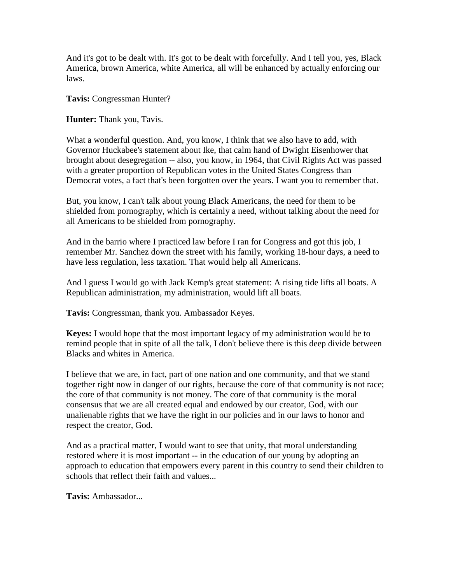And it's got to be dealt with. It's got to be dealt with forcefully. And I tell you, yes, Black America, brown America, white America, all will be enhanced by actually enforcing our laws.

**Tavis:** Congressman Hunter?

**Hunter:** Thank you, Tavis.

What a wonderful question. And, you know, I think that we also have to add, with Governor Huckabee's statement about Ike, that calm hand of Dwight Eisenhower that brought about desegregation -- also, you know, in 1964, that Civil Rights Act was passed with a greater proportion of Republican votes in the United States Congress than Democrat votes, a fact that's been forgotten over the years. I want you to remember that.

But, you know, I can't talk about young Black Americans, the need for them to be shielded from pornography, which is certainly a need, without talking about the need for all Americans to be shielded from pornography.

And in the barrio where I practiced law before I ran for Congress and got this job, I remember Mr. Sanchez down the street with his family, working 18-hour days, a need to have less regulation, less taxation. That would help all Americans.

And I guess I would go with Jack Kemp's great statement: A rising tide lifts all boats. A Republican administration, my administration, would lift all boats.

**Tavis:** Congressman, thank you. Ambassador Keyes.

**Keyes:** I would hope that the most important legacy of my administration would be to remind people that in spite of all the talk, I don't believe there is this deep divide between Blacks and whites in America.

I believe that we are, in fact, part of one nation and one community, and that we stand together right now in danger of our rights, because the core of that community is not race; the core of that community is not money. The core of that community is the moral consensus that we are all created equal and endowed by our creator, God, with our unalienable rights that we have the right in our policies and in our laws to honor and respect the creator, God.

And as a practical matter, I would want to see that unity, that moral understanding restored where it is most important -- in the education of our young by adopting an approach to education that empowers every parent in this country to send their children to schools that reflect their faith and values...

**Tavis:** Ambassador...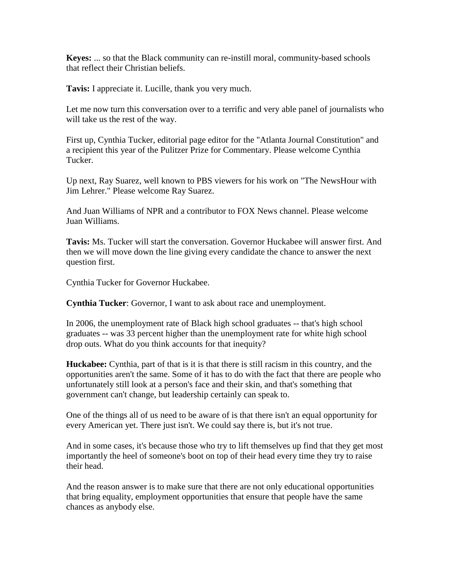**Keyes:** ... so that the Black community can re-instill moral, community-based schools that reflect their Christian beliefs.

**Tavis:** I appreciate it. Lucille, thank you very much.

Let me now turn this conversation over to a terrific and very able panel of journalists who will take us the rest of the way.

First up, Cynthia Tucker, editorial page editor for the "Atlanta Journal Constitution" and a recipient this year of the Pulitzer Prize for Commentary. Please welcome Cynthia Tucker.

Up next, Ray Suarez, well known to PBS viewers for his work on "The NewsHour with Jim Lehrer." Please welcome Ray Suarez.

And Juan Williams of NPR and a contributor to FOX News channel. Please welcome Juan Williams.

**Tavis:** Ms. Tucker will start the conversation. Governor Huckabee will answer first. And then we will move down the line giving every candidate the chance to answer the next question first.

Cynthia Tucker for Governor Huckabee.

**Cynthia Tucker**: Governor, I want to ask about race and unemployment.

In 2006, the unemployment rate of Black high school graduates -- that's high school graduates -- was 33 percent higher than the unemployment rate for white high school drop outs. What do you think accounts for that inequity?

**Huckabee:** Cynthia, part of that is it is that there is still racism in this country, and the opportunities aren't the same. Some of it has to do with the fact that there are people who unfortunately still look at a person's face and their skin, and that's something that government can't change, but leadership certainly can speak to.

One of the things all of us need to be aware of is that there isn't an equal opportunity for every American yet. There just isn't. We could say there is, but it's not true.

And in some cases, it's because those who try to lift themselves up find that they get most importantly the heel of someone's boot on top of their head every time they try to raise their head.

And the reason answer is to make sure that there are not only educational opportunities that bring equality, employment opportunities that ensure that people have the same chances as anybody else.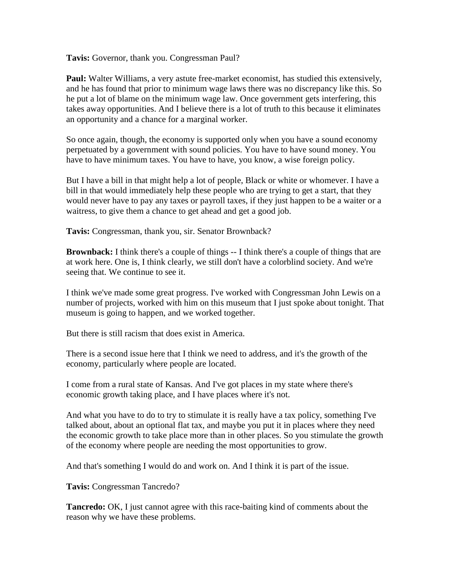**Tavis:** Governor, thank you. Congressman Paul?

**Paul:** Walter Williams, a very astute free-market economist, has studied this extensively, and he has found that prior to minimum wage laws there was no discrepancy like this. So he put a lot of blame on the minimum wage law. Once government gets interfering, this takes away opportunities. And I believe there is a lot of truth to this because it eliminates an opportunity and a chance for a marginal worker.

So once again, though, the economy is supported only when you have a sound economy perpetuated by a government with sound policies. You have to have sound money. You have to have minimum taxes. You have to have, you know, a wise foreign policy.

But I have a bill in that might help a lot of people, Black or white or whomever. I have a bill in that would immediately help these people who are trying to get a start, that they would never have to pay any taxes or payroll taxes, if they just happen to be a waiter or a waitress, to give them a chance to get ahead and get a good job.

**Tavis:** Congressman, thank you, sir. Senator Brownback?

**Brownback:** I think there's a couple of things -- I think there's a couple of things that are at work here. One is, I think clearly, we still don't have a colorblind society. And we're seeing that. We continue to see it.

I think we've made some great progress. I've worked with Congressman John Lewis on a number of projects, worked with him on this museum that I just spoke about tonight. That museum is going to happen, and we worked together.

But there is still racism that does exist in America.

There is a second issue here that I think we need to address, and it's the growth of the economy, particularly where people are located.

I come from a rural state of Kansas. And I've got places in my state where there's economic growth taking place, and I have places where it's not.

And what you have to do to try to stimulate it is really have a tax policy, something I've talked about, about an optional flat tax, and maybe you put it in places where they need the economic growth to take place more than in other places. So you stimulate the growth of the economy where people are needing the most opportunities to grow.

And that's something I would do and work on. And I think it is part of the issue.

**Tavis:** Congressman Tancredo?

**Tancredo:** OK, I just cannot agree with this race-baiting kind of comments about the reason why we have these problems.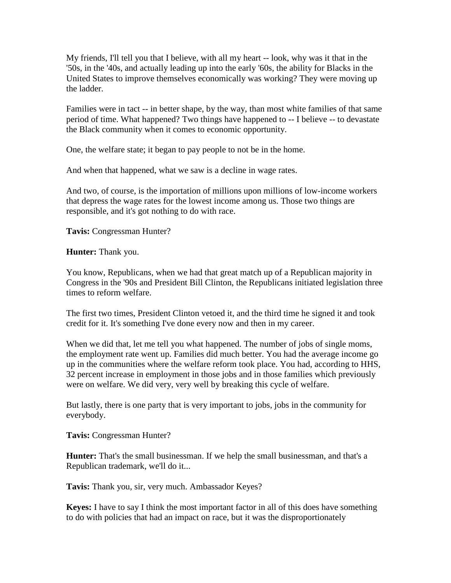My friends, I'll tell you that I believe, with all my heart -- look, why was it that in the '50s, in the '40s, and actually leading up into the early '60s, the ability for Blacks in the United States to improve themselves economically was working? They were moving up the ladder.

Families were in tact -- in better shape, by the way, than most white families of that same period of time. What happened? Two things have happened to -- I believe -- to devastate the Black community when it comes to economic opportunity.

One, the welfare state; it began to pay people to not be in the home.

And when that happened, what we saw is a decline in wage rates.

And two, of course, is the importation of millions upon millions of low-income workers that depress the wage rates for the lowest income among us. Those two things are responsible, and it's got nothing to do with race.

**Tavis:** Congressman Hunter?

**Hunter:** Thank you.

You know, Republicans, when we had that great match up of a Republican majority in Congress in the '90s and President Bill Clinton, the Republicans initiated legislation three times to reform welfare.

The first two times, President Clinton vetoed it, and the third time he signed it and took credit for it. It's something I've done every now and then in my career.

When we did that, let me tell you what happened. The number of jobs of single moms, the employment rate went up. Families did much better. You had the average income go up in the communities where the welfare reform took place. You had, according to HHS, 32 percent increase in employment in those jobs and in those families which previously were on welfare. We did very, very well by breaking this cycle of welfare.

But lastly, there is one party that is very important to jobs, jobs in the community for everybody.

**Tavis:** Congressman Hunter?

**Hunter:** That's the small businessman. If we help the small businessman, and that's a Republican trademark, we'll do it...

**Tavis:** Thank you, sir, very much. Ambassador Keyes?

**Keyes:** I have to say I think the most important factor in all of this does have something to do with policies that had an impact on race, but it was the disproportionately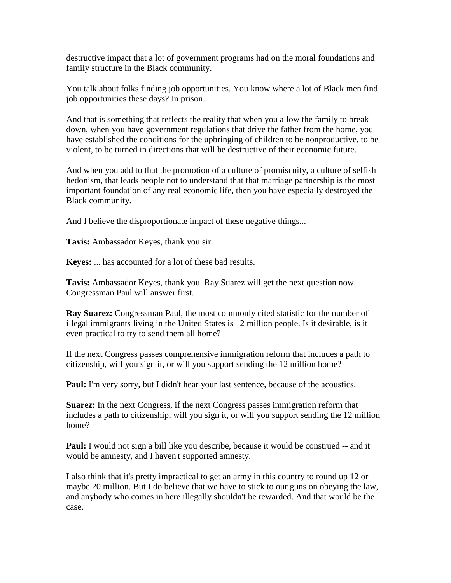destructive impact that a lot of government programs had on the moral foundations and family structure in the Black community.

You talk about folks finding job opportunities. You know where a lot of Black men find job opportunities these days? In prison.

And that is something that reflects the reality that when you allow the family to break down, when you have government regulations that drive the father from the home, you have established the conditions for the upbringing of children to be nonproductive, to be violent, to be turned in directions that will be destructive of their economic future.

And when you add to that the promotion of a culture of promiscuity, a culture of selfish hedonism, that leads people not to understand that that marriage partnership is the most important foundation of any real economic life, then you have especially destroyed the Black community.

And I believe the disproportionate impact of these negative things...

**Tavis:** Ambassador Keyes, thank you sir.

**Keyes:** ... has accounted for a lot of these bad results.

**Tavis:** Ambassador Keyes, thank you. Ray Suarez will get the next question now. Congressman Paul will answer first.

**Ray Suarez:** Congressman Paul, the most commonly cited statistic for the number of illegal immigrants living in the United States is 12 million people. Is it desirable, is it even practical to try to send them all home?

If the next Congress passes comprehensive immigration reform that includes a path to citizenship, will you sign it, or will you support sending the 12 million home?

Paul: I'm very sorry, but I didn't hear your last sentence, because of the acoustics.

**Suarez:** In the next Congress, if the next Congress passes immigration reform that includes a path to citizenship, will you sign it, or will you support sending the 12 million home?

**Paul:** I would not sign a bill like you describe, because it would be construed -- and it would be amnesty, and I haven't supported amnesty.

I also think that it's pretty impractical to get an army in this country to round up 12 or maybe 20 million. But I do believe that we have to stick to our guns on obeying the law, and anybody who comes in here illegally shouldn't be rewarded. And that would be the case.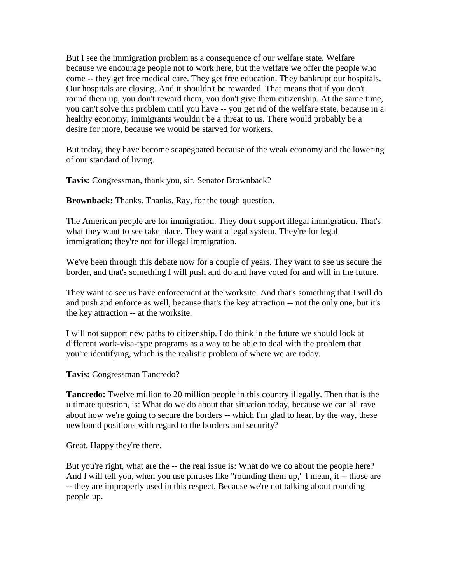But I see the immigration problem as a consequence of our welfare state. Welfare because we encourage people not to work here, but the welfare we offer the people who come -- they get free medical care. They get free education. They bankrupt our hospitals. Our hospitals are closing. And it shouldn't be rewarded. That means that if you don't round them up, you don't reward them, you don't give them citizenship. At the same time, you can't solve this problem until you have -- you get rid of the welfare state, because in a healthy economy, immigrants wouldn't be a threat to us. There would probably be a desire for more, because we would be starved for workers.

But today, they have become scapegoated because of the weak economy and the lowering of our standard of living.

**Tavis:** Congressman, thank you, sir. Senator Brownback?

**Brownback:** Thanks. Thanks, Ray, for the tough question.

The American people are for immigration. They don't support illegal immigration. That's what they want to see take place. They want a legal system. They're for legal immigration; they're not for illegal immigration.

We've been through this debate now for a couple of years. They want to see us secure the border, and that's something I will push and do and have voted for and will in the future.

They want to see us have enforcement at the worksite. And that's something that I will do and push and enforce as well, because that's the key attraction -- not the only one, but it's the key attraction -- at the worksite.

I will not support new paths to citizenship. I do think in the future we should look at different work-visa-type programs as a way to be able to deal with the problem that you're identifying, which is the realistic problem of where we are today.

**Tavis:** Congressman Tancredo?

**Tancredo:** Twelve million to 20 million people in this country illegally. Then that is the ultimate question, is: What do we do about that situation today, because we can all rave about how we're going to secure the borders -- which I'm glad to hear, by the way, these newfound positions with regard to the borders and security?

Great. Happy they're there.

But you're right, what are the -- the real issue is: What do we do about the people here? And I will tell you, when you use phrases like "rounding them up," I mean, it -- those are -- they are improperly used in this respect. Because we're not talking about rounding people up.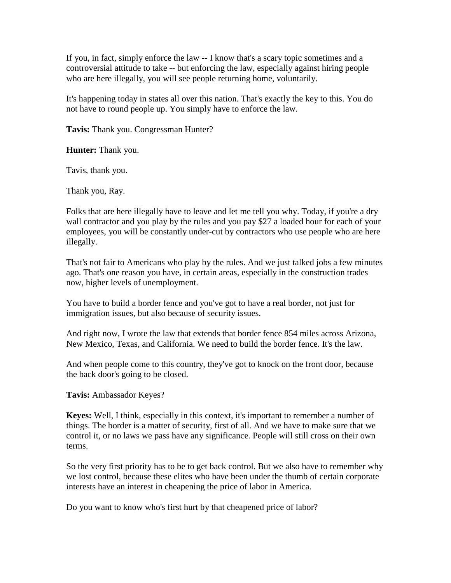If you, in fact, simply enforce the law -- I know that's a scary topic sometimes and a controversial attitude to take -- but enforcing the law, especially against hiring people who are here illegally, you will see people returning home, voluntarily.

It's happening today in states all over this nation. That's exactly the key to this. You do not have to round people up. You simply have to enforce the law.

**Tavis:** Thank you. Congressman Hunter?

**Hunter:** Thank you.

Tavis, thank you.

Thank you, Ray.

Folks that are here illegally have to leave and let me tell you why. Today, if you're a dry wall contractor and you play by the rules and you pay \$27 a loaded hour for each of your employees, you will be constantly under-cut by contractors who use people who are here illegally.

That's not fair to Americans who play by the rules. And we just talked jobs a few minutes ago. That's one reason you have, in certain areas, especially in the construction trades now, higher levels of unemployment.

You have to build a border fence and you've got to have a real border, not just for immigration issues, but also because of security issues.

And right now, I wrote the law that extends that border fence 854 miles across Arizona, New Mexico, Texas, and California. We need to build the border fence. It's the law.

And when people come to this country, they've got to knock on the front door, because the back door's going to be closed.

**Tavis:** Ambassador Keyes?

**Keyes:** Well, I think, especially in this context, it's important to remember a number of things. The border is a matter of security, first of all. And we have to make sure that we control it, or no laws we pass have any significance. People will still cross on their own terms.

So the very first priority has to be to get back control. But we also have to remember why we lost control, because these elites who have been under the thumb of certain corporate interests have an interest in cheapening the price of labor in America.

Do you want to know who's first hurt by that cheapened price of labor?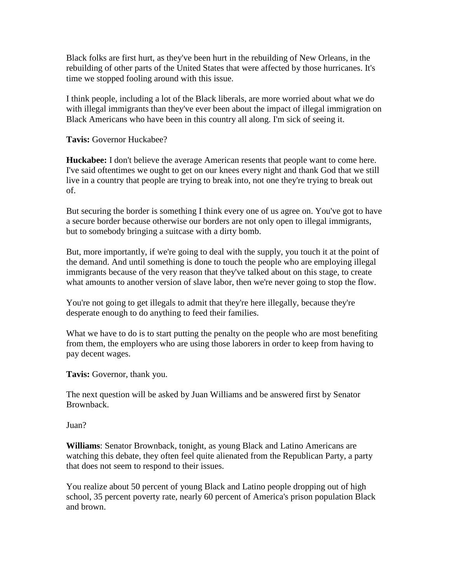Black folks are first hurt, as they've been hurt in the rebuilding of New Orleans, in the rebuilding of other parts of the United States that were affected by those hurricanes. It's time we stopped fooling around with this issue.

I think people, including a lot of the Black liberals, are more worried about what we do with illegal immigrants than they've ever been about the impact of illegal immigration on Black Americans who have been in this country all along. I'm sick of seeing it.

**Tavis:** Governor Huckabee?

**Huckabee:** I don't believe the average American resents that people want to come here. I've said oftentimes we ought to get on our knees every night and thank God that we still live in a country that people are trying to break into, not one they're trying to break out of.

But securing the border is something I think every one of us agree on. You've got to have a secure border because otherwise our borders are not only open to illegal immigrants, but to somebody bringing a suitcase with a dirty bomb.

But, more importantly, if we're going to deal with the supply, you touch it at the point of the demand. And until something is done to touch the people who are employing illegal immigrants because of the very reason that they've talked about on this stage, to create what amounts to another version of slave labor, then we're never going to stop the flow.

You're not going to get illegals to admit that they're here illegally, because they're desperate enough to do anything to feed their families.

What we have to do is to start putting the penalty on the people who are most benefiting from them, the employers who are using those laborers in order to keep from having to pay decent wages.

**Tavis:** Governor, thank you.

The next question will be asked by Juan Williams and be answered first by Senator Brownback.

Juan?

**Williams**: Senator Brownback, tonight, as young Black and Latino Americans are watching this debate, they often feel quite alienated from the Republican Party, a party that does not seem to respond to their issues.

You realize about 50 percent of young Black and Latino people dropping out of high school, 35 percent poverty rate, nearly 60 percent of America's prison population Black and brown.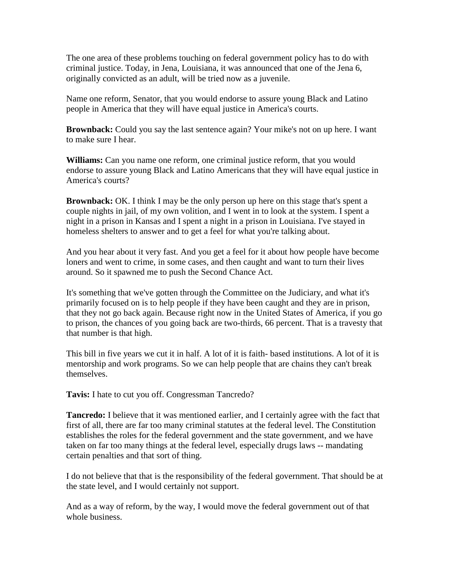The one area of these problems touching on federal government policy has to do with criminal justice. Today, in Jena, Louisiana, it was announced that one of the Jena 6, originally convicted as an adult, will be tried now as a juvenile.

Name one reform, Senator, that you would endorse to assure young Black and Latino people in America that they will have equal justice in America's courts.

**Brownback:** Could you say the last sentence again? Your mike's not on up here. I want to make sure I hear.

**Williams:** Can you name one reform, one criminal justice reform, that you would endorse to assure young Black and Latino Americans that they will have equal justice in America's courts?

**Brownback:** OK. I think I may be the only person up here on this stage that's spent a couple nights in jail, of my own volition, and I went in to look at the system. I spent a night in a prison in Kansas and I spent a night in a prison in Louisiana. I've stayed in homeless shelters to answer and to get a feel for what you're talking about.

And you hear about it very fast. And you get a feel for it about how people have become loners and went to crime, in some cases, and then caught and want to turn their lives around. So it spawned me to push the Second Chance Act.

It's something that we've gotten through the Committee on the Judiciary, and what it's primarily focused on is to help people if they have been caught and they are in prison, that they not go back again. Because right now in the United States of America, if you go to prison, the chances of you going back are two-thirds, 66 percent. That is a travesty that that number is that high.

This bill in five years we cut it in half. A lot of it is faith- based institutions. A lot of it is mentorship and work programs. So we can help people that are chains they can't break themselves.

**Tavis:** I hate to cut you off. Congressman Tancredo?

**Tancredo:** I believe that it was mentioned earlier, and I certainly agree with the fact that first of all, there are far too many criminal statutes at the federal level. The Constitution establishes the roles for the federal government and the state government, and we have taken on far too many things at the federal level, especially drugs laws -- mandating certain penalties and that sort of thing.

I do not believe that that is the responsibility of the federal government. That should be at the state level, and I would certainly not support.

And as a way of reform, by the way, I would move the federal government out of that whole business.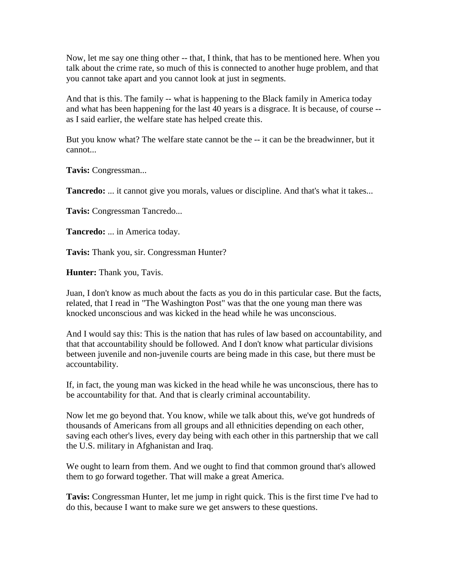Now, let me say one thing other -- that, I think, that has to be mentioned here. When you talk about the crime rate, so much of this is connected to another huge problem, and that you cannot take apart and you cannot look at just in segments.

And that is this. The family -- what is happening to the Black family in America today and what has been happening for the last 40 years is a disgrace. It is because, of course - as I said earlier, the welfare state has helped create this.

But you know what? The welfare state cannot be the -- it can be the breadwinner, but it cannot...

**Tavis:** Congressman...

**Tancredo:** ... it cannot give you morals, values or discipline. And that's what it takes...

**Tavis:** Congressman Tancredo...

**Tancredo:** ... in America today.

**Tavis:** Thank you, sir. Congressman Hunter?

**Hunter:** Thank you, Tavis.

Juan, I don't know as much about the facts as you do in this particular case. But the facts, related, that I read in "The Washington Post" was that the one young man there was knocked unconscious and was kicked in the head while he was unconscious.

And I would say this: This is the nation that has rules of law based on accountability, and that that accountability should be followed. And I don't know what particular divisions between juvenile and non-juvenile courts are being made in this case, but there must be accountability.

If, in fact, the young man was kicked in the head while he was unconscious, there has to be accountability for that. And that is clearly criminal accountability.

Now let me go beyond that. You know, while we talk about this, we've got hundreds of thousands of Americans from all groups and all ethnicities depending on each other, saving each other's lives, every day being with each other in this partnership that we call the U.S. military in Afghanistan and Iraq.

We ought to learn from them. And we ought to find that common ground that's allowed them to go forward together. That will make a great America.

**Tavis:** Congressman Hunter, let me jump in right quick. This is the first time I've had to do this, because I want to make sure we get answers to these questions.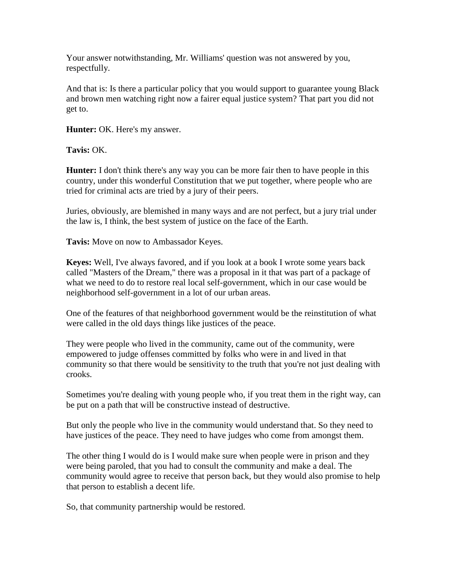Your answer notwithstanding, Mr. Williams' question was not answered by you, respectfully.

And that is: Is there a particular policy that you would support to guarantee young Black and brown men watching right now a fairer equal justice system? That part you did not get to.

**Hunter:** OK. Here's my answer.

**Tavis:** OK.

**Hunter:** I don't think there's any way you can be more fair then to have people in this country, under this wonderful Constitution that we put together, where people who are tried for criminal acts are tried by a jury of their peers.

Juries, obviously, are blemished in many ways and are not perfect, but a jury trial under the law is, I think, the best system of justice on the face of the Earth.

**Tavis:** Move on now to Ambassador Keyes.

**Keyes:** Well, I've always favored, and if you look at a book I wrote some years back called "Masters of the Dream," there was a proposal in it that was part of a package of what we need to do to restore real local self-government, which in our case would be neighborhood self-government in a lot of our urban areas.

One of the features of that neighborhood government would be the reinstitution of what were called in the old days things like justices of the peace.

They were people who lived in the community, came out of the community, were empowered to judge offenses committed by folks who were in and lived in that community so that there would be sensitivity to the truth that you're not just dealing with crooks.

Sometimes you're dealing with young people who, if you treat them in the right way, can be put on a path that will be constructive instead of destructive.

But only the people who live in the community would understand that. So they need to have justices of the peace. They need to have judges who come from amongst them.

The other thing I would do is I would make sure when people were in prison and they were being paroled, that you had to consult the community and make a deal. The community would agree to receive that person back, but they would also promise to help that person to establish a decent life.

So, that community partnership would be restored.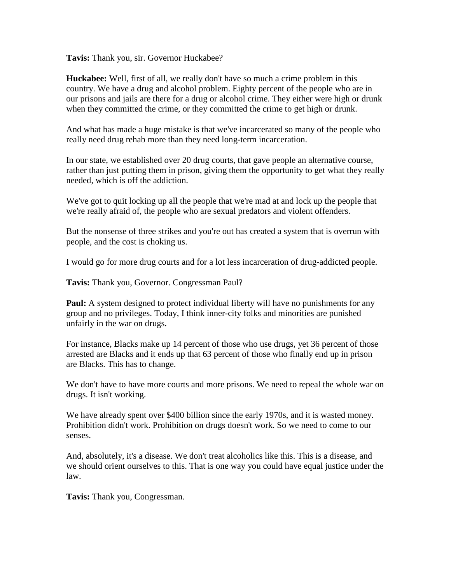**Tavis:** Thank you, sir. Governor Huckabee?

**Huckabee:** Well, first of all, we really don't have so much a crime problem in this country. We have a drug and alcohol problem. Eighty percent of the people who are in our prisons and jails are there for a drug or alcohol crime. They either were high or drunk when they committed the crime, or they committed the crime to get high or drunk.

And what has made a huge mistake is that we've incarcerated so many of the people who really need drug rehab more than they need long-term incarceration.

In our state, we established over 20 drug courts, that gave people an alternative course, rather than just putting them in prison, giving them the opportunity to get what they really needed, which is off the addiction.

We've got to quit locking up all the people that we're mad at and lock up the people that we're really afraid of, the people who are sexual predators and violent offenders.

But the nonsense of three strikes and you're out has created a system that is overrun with people, and the cost is choking us.

I would go for more drug courts and for a lot less incarceration of drug-addicted people.

**Tavis:** Thank you, Governor. Congressman Paul?

**Paul:** A system designed to protect individual liberty will have no punishments for any group and no privileges. Today, I think inner-city folks and minorities are punished unfairly in the war on drugs.

For instance, Blacks make up 14 percent of those who use drugs, yet 36 percent of those arrested are Blacks and it ends up that 63 percent of those who finally end up in prison are Blacks. This has to change.

We don't have to have more courts and more prisons. We need to repeal the whole war on drugs. It isn't working.

We have already spent over \$400 billion since the early 1970s, and it is wasted money. Prohibition didn't work. Prohibition on drugs doesn't work. So we need to come to our senses.

And, absolutely, it's a disease. We don't treat alcoholics like this. This is a disease, and we should orient ourselves to this. That is one way you could have equal justice under the law.

**Tavis:** Thank you, Congressman.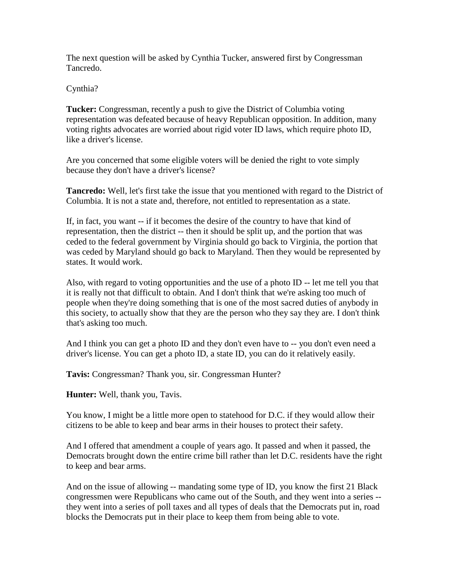The next question will be asked by Cynthia Tucker, answered first by Congressman Tancredo.

Cynthia?

**Tucker:** Congressman, recently a push to give the District of Columbia voting representation was defeated because of heavy Republican opposition. In addition, many voting rights advocates are worried about rigid voter ID laws, which require photo ID, like a driver's license.

Are you concerned that some eligible voters will be denied the right to vote simply because they don't have a driver's license?

**Tancredo:** Well, let's first take the issue that you mentioned with regard to the District of Columbia. It is not a state and, therefore, not entitled to representation as a state.

If, in fact, you want -- if it becomes the desire of the country to have that kind of representation, then the district -- then it should be split up, and the portion that was ceded to the federal government by Virginia should go back to Virginia, the portion that was ceded by Maryland should go back to Maryland. Then they would be represented by states. It would work.

Also, with regard to voting opportunities and the use of a photo ID -- let me tell you that it is really not that difficult to obtain. And I don't think that we're asking too much of people when they're doing something that is one of the most sacred duties of anybody in this society, to actually show that they are the person who they say they are. I don't think that's asking too much.

And I think you can get a photo ID and they don't even have to -- you don't even need a driver's license. You can get a photo ID, a state ID, you can do it relatively easily.

**Tavis:** Congressman? Thank you, sir. Congressman Hunter?

**Hunter:** Well, thank you, Tavis.

You know, I might be a little more open to statehood for D.C. if they would allow their citizens to be able to keep and bear arms in their houses to protect their safety.

And I offered that amendment a couple of years ago. It passed and when it passed, the Democrats brought down the entire crime bill rather than let D.C. residents have the right to keep and bear arms.

And on the issue of allowing -- mandating some type of ID, you know the first 21 Black congressmen were Republicans who came out of the South, and they went into a series - they went into a series of poll taxes and all types of deals that the Democrats put in, road blocks the Democrats put in their place to keep them from being able to vote.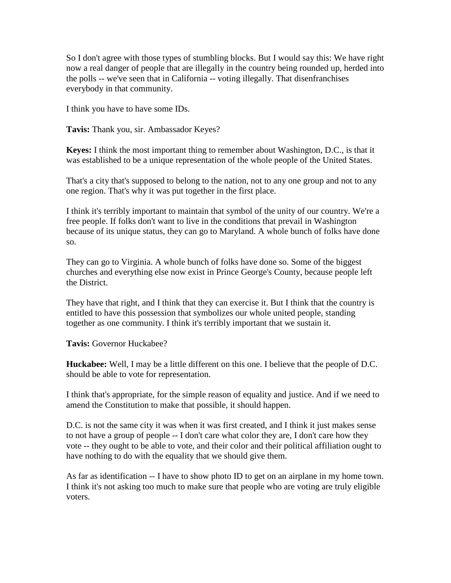So I don't agree with those types of stumbling blocks. But I would say this: We have right now a real danger of people that are illegally in the country being rounded up, herded into the polls -- we've seen that in California -- voting illegally. That disenfranchises everybody in that community.

I think you have to have some IDs.

**Tavis:** Thank you, sir. Ambassador Keyes?

**Keyes:** I think the most important thing to remember about Washington, D.C., is that it was established to be a unique representation of the whole people of the United States.

That's a city that's supposed to belong to the nation, not to any one group and not to any one region. That's why it was put together in the first place.

I think it's terribly important to maintain that symbol of the unity of our country. We're a free people. If folks don't want to live in the conditions that prevail in Washington because of its unique status, they can go to Maryland. A whole bunch of folks have done so.

They can go to Virginia. A whole bunch of folks have done so. Some of the biggest churches and everything else now exist in Prince George's County, because people left the District.

They have that right, and I think that they can exercise it. But I think that the country is entitled to have this possession that symbolizes our whole united people, standing together as one community. I think it's terribly important that we sustain it.

**Tavis:** Governor Huckabee?

**Huckabee:** Well, I may be a little different on this one. I believe that the people of D.C. should be able to vote for representation.

I think that's appropriate, for the simple reason of equality and justice. And if we need to amend the Constitution to make that possible, it should happen.

D.C. is not the same city it was when it was first created, and I think it just makes sense to not have a group of people -- I don't care what color they are, I don't care how they vote -- they ought to be able to vote, and their color and their political affiliation ought to have nothing to do with the equality that we should give them.

As far as identification -- I have to show photo ID to get on an airplane in my home town. I think it's not asking too much to make sure that people who are voting are truly eligible voters.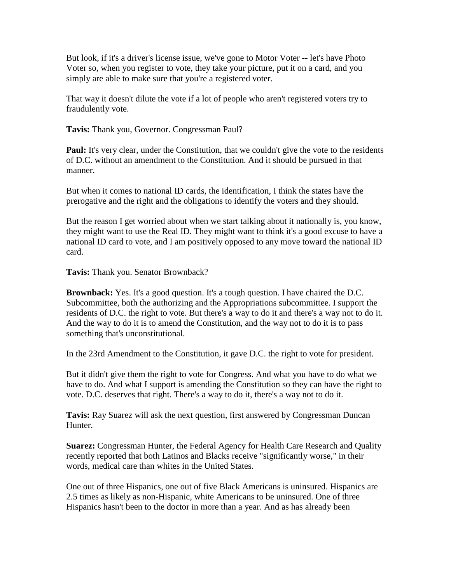But look, if it's a driver's license issue, we've gone to Motor Voter -- let's have Photo Voter so, when you register to vote, they take your picture, put it on a card, and you simply are able to make sure that you're a registered voter.

That way it doesn't dilute the vote if a lot of people who aren't registered voters try to fraudulently vote.

**Tavis:** Thank you, Governor. Congressman Paul?

**Paul:** It's very clear, under the Constitution, that we couldn't give the vote to the residents of D.C. without an amendment to the Constitution. And it should be pursued in that manner.

But when it comes to national ID cards, the identification, I think the states have the prerogative and the right and the obligations to identify the voters and they should.

But the reason I get worried about when we start talking about it nationally is, you know, they might want to use the Real ID. They might want to think it's a good excuse to have a national ID card to vote, and I am positively opposed to any move toward the national ID card.

**Tavis:** Thank you. Senator Brownback?

**Brownback:** Yes. It's a good question. It's a tough question. I have chaired the D.C. Subcommittee, both the authorizing and the Appropriations subcommittee. I support the residents of D.C. the right to vote. But there's a way to do it and there's a way not to do it. And the way to do it is to amend the Constitution, and the way not to do it is to pass something that's unconstitutional.

In the 23rd Amendment to the Constitution, it gave D.C. the right to vote for president.

But it didn't give them the right to vote for Congress. And what you have to do what we have to do. And what I support is amending the Constitution so they can have the right to vote. D.C. deserves that right. There's a way to do it, there's a way not to do it.

**Tavis:** Ray Suarez will ask the next question, first answered by Congressman Duncan Hunter.

**Suarez:** Congressman Hunter, the Federal Agency for Health Care Research and Quality recently reported that both Latinos and Blacks receive "significantly worse," in their words, medical care than whites in the United States.

One out of three Hispanics, one out of five Black Americans is uninsured. Hispanics are 2.5 times as likely as non-Hispanic, white Americans to be uninsured. One of three Hispanics hasn't been to the doctor in more than a year. And as has already been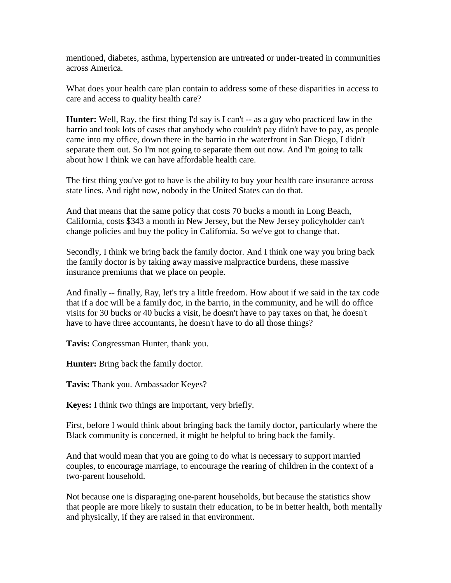mentioned, diabetes, asthma, hypertension are untreated or under-treated in communities across America.

What does your health care plan contain to address some of these disparities in access to care and access to quality health care?

**Hunter:** Well, Ray, the first thing I'd say is I can't -- as a guy who practiced law in the barrio and took lots of cases that anybody who couldn't pay didn't have to pay, as people came into my office, down there in the barrio in the waterfront in San Diego, I didn't separate them out. So I'm not going to separate them out now. And I'm going to talk about how I think we can have affordable health care.

The first thing you've got to have is the ability to buy your health care insurance across state lines. And right now, nobody in the United States can do that.

And that means that the same policy that costs 70 bucks a month in Long Beach, California, costs \$343 a month in New Jersey, but the New Jersey policyholder can't change policies and buy the policy in California. So we've got to change that.

Secondly, I think we bring back the family doctor. And I think one way you bring back the family doctor is by taking away massive malpractice burdens, these massive insurance premiums that we place on people.

And finally -- finally, Ray, let's try a little freedom. How about if we said in the tax code that if a doc will be a family doc, in the barrio, in the community, and he will do office visits for 30 bucks or 40 bucks a visit, he doesn't have to pay taxes on that, he doesn't have to have three accountants, he doesn't have to do all those things?

**Tavis:** Congressman Hunter, thank you.

**Hunter:** Bring back the family doctor.

**Tavis:** Thank you. Ambassador Keyes?

**Keyes:** I think two things are important, very briefly.

First, before I would think about bringing back the family doctor, particularly where the Black community is concerned, it might be helpful to bring back the family.

And that would mean that you are going to do what is necessary to support married couples, to encourage marriage, to encourage the rearing of children in the context of a two-parent household.

Not because one is disparaging one-parent households, but because the statistics show that people are more likely to sustain their education, to be in better health, both mentally and physically, if they are raised in that environment.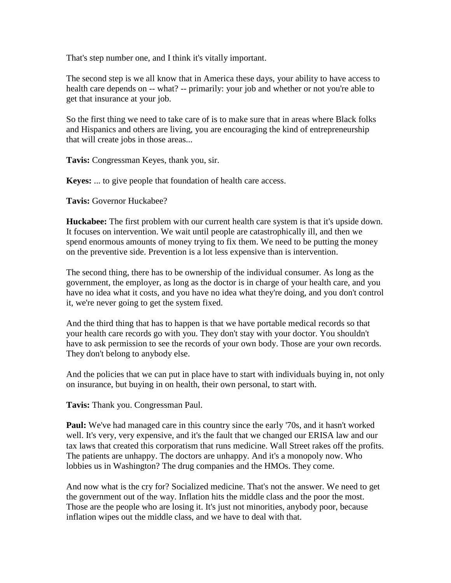That's step number one, and I think it's vitally important.

The second step is we all know that in America these days, your ability to have access to health care depends on -- what? -- primarily: your job and whether or not you're able to get that insurance at your job.

So the first thing we need to take care of is to make sure that in areas where Black folks and Hispanics and others are living, you are encouraging the kind of entrepreneurship that will create jobs in those areas...

**Tavis:** Congressman Keyes, thank you, sir.

**Keyes:** ... to give people that foundation of health care access.

**Tavis:** Governor Huckabee?

**Huckabee:** The first problem with our current health care system is that it's upside down. It focuses on intervention. We wait until people are catastrophically ill, and then we spend enormous amounts of money trying to fix them. We need to be putting the money on the preventive side. Prevention is a lot less expensive than is intervention.

The second thing, there has to be ownership of the individual consumer. As long as the government, the employer, as long as the doctor is in charge of your health care, and you have no idea what it costs, and you have no idea what they're doing, and you don't control it, we're never going to get the system fixed.

And the third thing that has to happen is that we have portable medical records so that your health care records go with you. They don't stay with your doctor. You shouldn't have to ask permission to see the records of your own body. Those are your own records. They don't belong to anybody else.

And the policies that we can put in place have to start with individuals buying in, not only on insurance, but buying in on health, their own personal, to start with.

**Tavis:** Thank you. Congressman Paul.

**Paul:** We've had managed care in this country since the early '70s, and it hasn't worked well. It's very, very expensive, and it's the fault that we changed our ERISA law and our tax laws that created this corporatism that runs medicine. Wall Street rakes off the profits. The patients are unhappy. The doctors are unhappy. And it's a monopoly now. Who lobbies us in Washington? The drug companies and the HMOs. They come.

And now what is the cry for? Socialized medicine. That's not the answer. We need to get the government out of the way. Inflation hits the middle class and the poor the most. Those are the people who are losing it. It's just not minorities, anybody poor, because inflation wipes out the middle class, and we have to deal with that.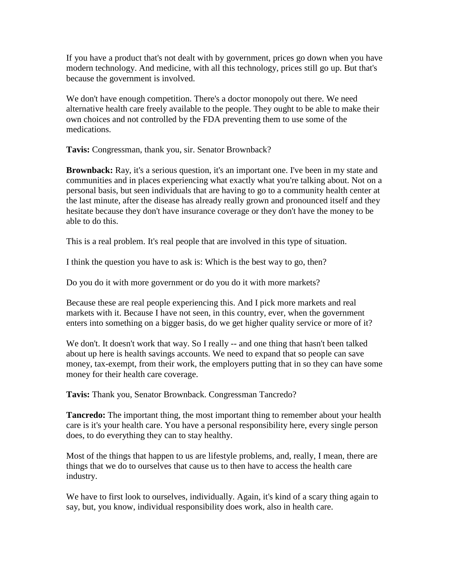If you have a product that's not dealt with by government, prices go down when you have modern technology. And medicine, with all this technology, prices still go up. But that's because the government is involved.

We don't have enough competition. There's a doctor monopoly out there. We need alternative health care freely available to the people. They ought to be able to make their own choices and not controlled by the FDA preventing them to use some of the medications.

**Tavis:** Congressman, thank you, sir. Senator Brownback?

**Brownback:** Ray, it's a serious question, it's an important one. I've been in my state and communities and in places experiencing what exactly what you're talking about. Not on a personal basis, but seen individuals that are having to go to a community health center at the last minute, after the disease has already really grown and pronounced itself and they hesitate because they don't have insurance coverage or they don't have the money to be able to do this.

This is a real problem. It's real people that are involved in this type of situation.

I think the question you have to ask is: Which is the best way to go, then?

Do you do it with more government or do you do it with more markets?

Because these are real people experiencing this. And I pick more markets and real markets with it. Because I have not seen, in this country, ever, when the government enters into something on a bigger basis, do we get higher quality service or more of it?

We don't. It doesn't work that way. So I really -- and one thing that hasn't been talked about up here is health savings accounts. We need to expand that so people can save money, tax-exempt, from their work, the employers putting that in so they can have some money for their health care coverage.

**Tavis:** Thank you, Senator Brownback. Congressman Tancredo?

**Tancredo:** The important thing, the most important thing to remember about your health care is it's your health care. You have a personal responsibility here, every single person does, to do everything they can to stay healthy.

Most of the things that happen to us are lifestyle problems, and, really, I mean, there are things that we do to ourselves that cause us to then have to access the health care industry.

We have to first look to ourselves, individually. Again, it's kind of a scary thing again to say, but, you know, individual responsibility does work, also in health care.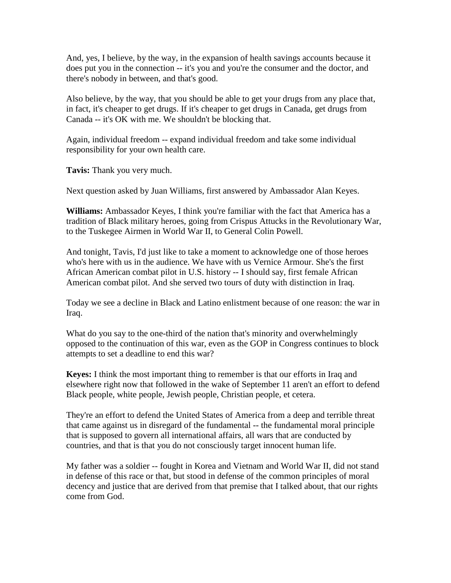And, yes, I believe, by the way, in the expansion of health savings accounts because it does put you in the connection -- it's you and you're the consumer and the doctor, and there's nobody in between, and that's good.

Also believe, by the way, that you should be able to get your drugs from any place that, in fact, it's cheaper to get drugs. If it's cheaper to get drugs in Canada, get drugs from Canada -- it's OK with me. We shouldn't be blocking that.

Again, individual freedom -- expand individual freedom and take some individual responsibility for your own health care.

**Tavis:** Thank you very much.

Next question asked by Juan Williams, first answered by Ambassador Alan Keyes.

**Williams:** Ambassador Keyes, I think you're familiar with the fact that America has a tradition of Black military heroes, going from Crispus Attucks in the Revolutionary War, to the Tuskegee Airmen in World War II, to General Colin Powell.

And tonight, Tavis, I'd just like to take a moment to acknowledge one of those heroes who's here with us in the audience. We have with us Vernice Armour. She's the first African American combat pilot in U.S. history -- I should say, first female African American combat pilot. And she served two tours of duty with distinction in Iraq.

Today we see a decline in Black and Latino enlistment because of one reason: the war in Iraq.

What do you say to the one-third of the nation that's minority and overwhelmingly opposed to the continuation of this war, even as the GOP in Congress continues to block attempts to set a deadline to end this war?

**Keyes:** I think the most important thing to remember is that our efforts in Iraq and elsewhere right now that followed in the wake of September 11 aren't an effort to defend Black people, white people, Jewish people, Christian people, et cetera.

They're an effort to defend the United States of America from a deep and terrible threat that came against us in disregard of the fundamental -- the fundamental moral principle that is supposed to govern all international affairs, all wars that are conducted by countries, and that is that you do not consciously target innocent human life.

My father was a soldier -- fought in Korea and Vietnam and World War II, did not stand in defense of this race or that, but stood in defense of the common principles of moral decency and justice that are derived from that premise that I talked about, that our rights come from God.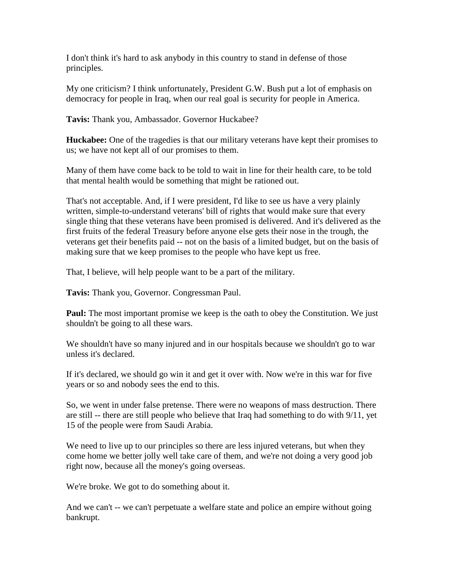I don't think it's hard to ask anybody in this country to stand in defense of those principles.

My one criticism? I think unfortunately, President G.W. Bush put a lot of emphasis on democracy for people in Iraq, when our real goal is security for people in America.

**Tavis:** Thank you, Ambassador. Governor Huckabee?

**Huckabee:** One of the tragedies is that our military veterans have kept their promises to us; we have not kept all of our promises to them.

Many of them have come back to be told to wait in line for their health care, to be told that mental health would be something that might be rationed out.

That's not acceptable. And, if I were president, I'd like to see us have a very plainly written, simple-to-understand veterans' bill of rights that would make sure that every single thing that these veterans have been promised is delivered. And it's delivered as the first fruits of the federal Treasury before anyone else gets their nose in the trough, the veterans get their benefits paid -- not on the basis of a limited budget, but on the basis of making sure that we keep promises to the people who have kept us free.

That, I believe, will help people want to be a part of the military.

**Tavis:** Thank you, Governor. Congressman Paul.

**Paul:** The most important promise we keep is the oath to obey the Constitution. We just shouldn't be going to all these wars.

We shouldn't have so many injured and in our hospitals because we shouldn't go to war unless it's declared.

If it's declared, we should go win it and get it over with. Now we're in this war for five years or so and nobody sees the end to this.

So, we went in under false pretense. There were no weapons of mass destruction. There are still -- there are still people who believe that Iraq had something to do with 9/11, yet 15 of the people were from Saudi Arabia.

We need to live up to our principles so there are less injured veterans, but when they come home we better jolly well take care of them, and we're not doing a very good job right now, because all the money's going overseas.

We're broke. We got to do something about it.

And we can't -- we can't perpetuate a welfare state and police an empire without going bankrupt.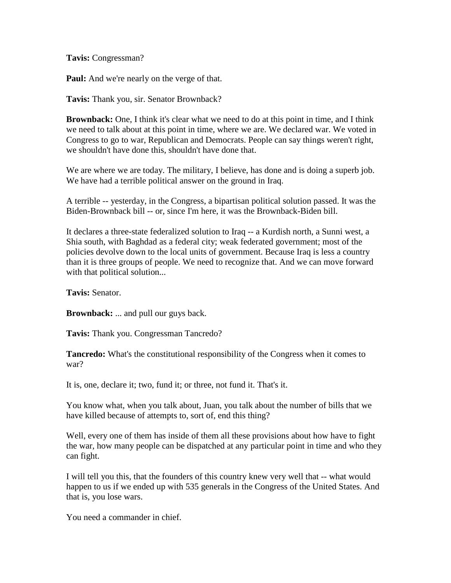**Tavis:** Congressman?

**Paul:** And we're nearly on the verge of that.

**Tavis:** Thank you, sir. Senator Brownback?

**Brownback:** One, I think it's clear what we need to do at this point in time, and I think we need to talk about at this point in time, where we are. We declared war. We voted in Congress to go to war, Republican and Democrats. People can say things weren't right, we shouldn't have done this, shouldn't have done that.

We are where we are today. The military, I believe, has done and is doing a superb job. We have had a terrible political answer on the ground in Iraq.

A terrible -- yesterday, in the Congress, a bipartisan political solution passed. It was the Biden-Brownback bill -- or, since I'm here, it was the Brownback-Biden bill.

It declares a three-state federalized solution to Iraq -- a Kurdish north, a Sunni west, a Shia south, with Baghdad as a federal city; weak federated government; most of the policies devolve down to the local units of government. Because Iraq is less a country than it is three groups of people. We need to recognize that. And we can move forward with that political solution...

**Tavis:** Senator.

**Brownback:** ... and pull our guys back.

**Tavis:** Thank you. Congressman Tancredo?

**Tancredo:** What's the constitutional responsibility of the Congress when it comes to war?

It is, one, declare it; two, fund it; or three, not fund it. That's it.

You know what, when you talk about, Juan, you talk about the number of bills that we have killed because of attempts to, sort of, end this thing?

Well, every one of them has inside of them all these provisions about how have to fight the war, how many people can be dispatched at any particular point in time and who they can fight.

I will tell you this, that the founders of this country knew very well that -- what would happen to us if we ended up with 535 generals in the Congress of the United States. And that is, you lose wars.

You need a commander in chief.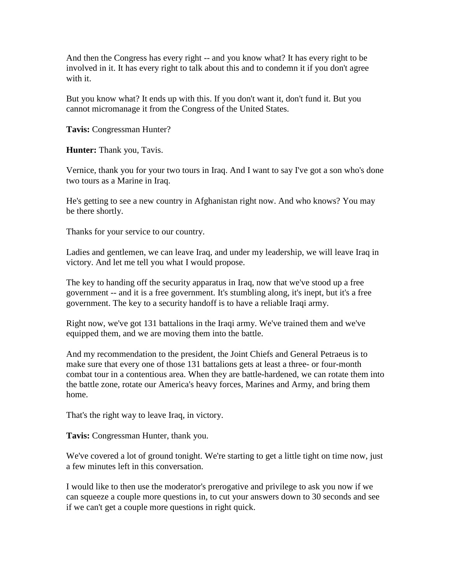And then the Congress has every right -- and you know what? It has every right to be involved in it. It has every right to talk about this and to condemn it if you don't agree with it.

But you know what? It ends up with this. If you don't want it, don't fund it. But you cannot micromanage it from the Congress of the United States.

**Tavis:** Congressman Hunter?

**Hunter:** Thank you, Tavis.

Vernice, thank you for your two tours in Iraq. And I want to say I've got a son who's done two tours as a Marine in Iraq.

He's getting to see a new country in Afghanistan right now. And who knows? You may be there shortly.

Thanks for your service to our country.

Ladies and gentlemen, we can leave Iraq, and under my leadership, we will leave Iraq in victory. And let me tell you what I would propose.

The key to handing off the security apparatus in Iraq, now that we've stood up a free government -- and it is a free government. It's stumbling along, it's inept, but it's a free government. The key to a security handoff is to have a reliable Iraqi army.

Right now, we've got 131 battalions in the Iraqi army. We've trained them and we've equipped them, and we are moving them into the battle.

And my recommendation to the president, the Joint Chiefs and General Petraeus is to make sure that every one of those 131 battalions gets at least a three- or four-month combat tour in a contentious area. When they are battle-hardened, we can rotate them into the battle zone, rotate our America's heavy forces, Marines and Army, and bring them home.

That's the right way to leave Iraq, in victory.

**Tavis:** Congressman Hunter, thank you.

We've covered a lot of ground tonight. We're starting to get a little tight on time now, just a few minutes left in this conversation.

I would like to then use the moderator's prerogative and privilege to ask you now if we can squeeze a couple more questions in, to cut your answers down to 30 seconds and see if we can't get a couple more questions in right quick.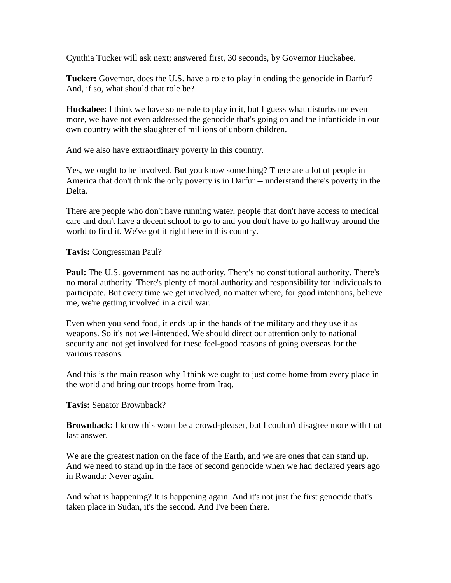Cynthia Tucker will ask next; answered first, 30 seconds, by Governor Huckabee.

**Tucker:** Governor, does the U.S. have a role to play in ending the genocide in Darfur? And, if so, what should that role be?

**Huckabee:** I think we have some role to play in it, but I guess what disturbs me even more, we have not even addressed the genocide that's going on and the infanticide in our own country with the slaughter of millions of unborn children.

And we also have extraordinary poverty in this country.

Yes, we ought to be involved. But you know something? There are a lot of people in America that don't think the only poverty is in Darfur -- understand there's poverty in the Delta.

There are people who don't have running water, people that don't have access to medical care and don't have a decent school to go to and you don't have to go halfway around the world to find it. We've got it right here in this country.

**Tavis:** Congressman Paul?

**Paul:** The U.S. government has no authority. There's no constitutional authority. There's no moral authority. There's plenty of moral authority and responsibility for individuals to participate. But every time we get involved, no matter where, for good intentions, believe me, we're getting involved in a civil war.

Even when you send food, it ends up in the hands of the military and they use it as weapons. So it's not well-intended. We should direct our attention only to national security and not get involved for these feel-good reasons of going overseas for the various reasons.

And this is the main reason why I think we ought to just come home from every place in the world and bring our troops home from Iraq.

**Tavis:** Senator Brownback?

**Brownback:** I know this won't be a crowd-pleaser, but I couldn't disagree more with that last answer.

We are the greatest nation on the face of the Earth, and we are ones that can stand up. And we need to stand up in the face of second genocide when we had declared years ago in Rwanda: Never again.

And what is happening? It is happening again. And it's not just the first genocide that's taken place in Sudan, it's the second. And I've been there.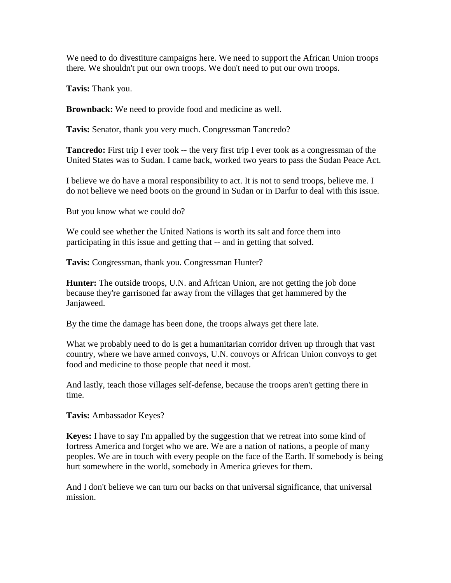We need to do divestiture campaigns here. We need to support the African Union troops there. We shouldn't put our own troops. We don't need to put our own troops.

**Tavis:** Thank you.

**Brownback:** We need to provide food and medicine as well.

**Tavis:** Senator, thank you very much. Congressman Tancredo?

**Tancredo:** First trip I ever took -- the very first trip I ever took as a congressman of the United States was to Sudan. I came back, worked two years to pass the Sudan Peace Act.

I believe we do have a moral responsibility to act. It is not to send troops, believe me. I do not believe we need boots on the ground in Sudan or in Darfur to deal with this issue.

But you know what we could do?

We could see whether the United Nations is worth its salt and force them into participating in this issue and getting that -- and in getting that solved.

**Tavis:** Congressman, thank you. Congressman Hunter?

**Hunter:** The outside troops, U.N. and African Union, are not getting the job done because they're garrisoned far away from the villages that get hammered by the Janjaweed.

By the time the damage has been done, the troops always get there late.

What we probably need to do is get a humanitarian corridor driven up through that vast country, where we have armed convoys, U.N. convoys or African Union convoys to get food and medicine to those people that need it most.

And lastly, teach those villages self-defense, because the troops aren't getting there in time.

**Tavis:** Ambassador Keyes?

**Keyes:** I have to say I'm appalled by the suggestion that we retreat into some kind of fortress America and forget who we are. We are a nation of nations, a people of many peoples. We are in touch with every people on the face of the Earth. If somebody is being hurt somewhere in the world, somebody in America grieves for them.

And I don't believe we can turn our backs on that universal significance, that universal mission.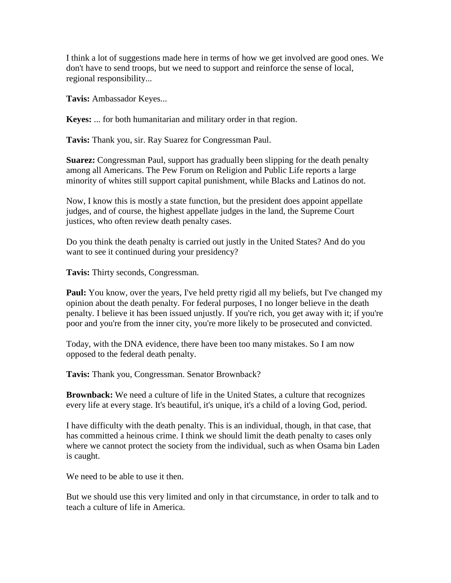I think a lot of suggestions made here in terms of how we get involved are good ones. We don't have to send troops, but we need to support and reinforce the sense of local, regional responsibility...

**Tavis:** Ambassador Keyes...

**Keyes:** ... for both humanitarian and military order in that region.

**Tavis:** Thank you, sir. Ray Suarez for Congressman Paul.

**Suarez:** Congressman Paul, support has gradually been slipping for the death penalty among all Americans. The Pew Forum on Religion and Public Life reports a large minority of whites still support capital punishment, while Blacks and Latinos do not.

Now, I know this is mostly a state function, but the president does appoint appellate judges, and of course, the highest appellate judges in the land, the Supreme Court justices, who often review death penalty cases.

Do you think the death penalty is carried out justly in the United States? And do you want to see it continued during your presidency?

**Tavis:** Thirty seconds, Congressman.

**Paul:** You know, over the years, I've held pretty rigid all my beliefs, but I've changed my opinion about the death penalty. For federal purposes, I no longer believe in the death penalty. I believe it has been issued unjustly. If you're rich, you get away with it; if you're poor and you're from the inner city, you're more likely to be prosecuted and convicted.

Today, with the DNA evidence, there have been too many mistakes. So I am now opposed to the federal death penalty.

**Tavis:** Thank you, Congressman. Senator Brownback?

**Brownback:** We need a culture of life in the United States, a culture that recognizes every life at every stage. It's beautiful, it's unique, it's a child of a loving God, period.

I have difficulty with the death penalty. This is an individual, though, in that case, that has committed a heinous crime. I think we should limit the death penalty to cases only where we cannot protect the society from the individual, such as when Osama bin Laden is caught.

We need to be able to use it then.

But we should use this very limited and only in that circumstance, in order to talk and to teach a culture of life in America.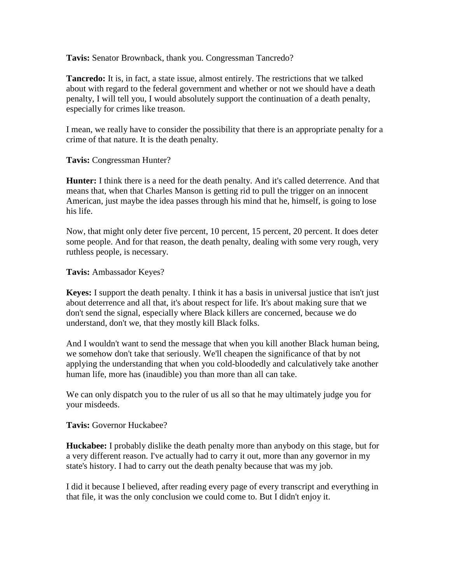**Tavis:** Senator Brownback, thank you. Congressman Tancredo?

**Tancredo:** It is, in fact, a state issue, almost entirely. The restrictions that we talked about with regard to the federal government and whether or not we should have a death penalty, I will tell you, I would absolutely support the continuation of a death penalty, especially for crimes like treason.

I mean, we really have to consider the possibility that there is an appropriate penalty for a crime of that nature. It is the death penalty.

**Tavis:** Congressman Hunter?

**Hunter:** I think there is a need for the death penalty. And it's called deterrence. And that means that, when that Charles Manson is getting rid to pull the trigger on an innocent American, just maybe the idea passes through his mind that he, himself, is going to lose his life.

Now, that might only deter five percent, 10 percent, 15 percent, 20 percent. It does deter some people. And for that reason, the death penalty, dealing with some very rough, very ruthless people, is necessary.

**Tavis:** Ambassador Keyes?

**Keyes:** I support the death penalty. I think it has a basis in universal justice that isn't just about deterrence and all that, it's about respect for life. It's about making sure that we don't send the signal, especially where Black killers are concerned, because we do understand, don't we, that they mostly kill Black folks.

And I wouldn't want to send the message that when you kill another Black human being, we somehow don't take that seriously. We'll cheapen the significance of that by not applying the understanding that when you cold-bloodedly and calculatively take another human life, more has (inaudible) you than more than all can take.

We can only dispatch you to the ruler of us all so that he may ultimately judge you for your misdeeds.

**Tavis:** Governor Huckabee?

**Huckabee:** I probably dislike the death penalty more than anybody on this stage, but for a very different reason. I've actually had to carry it out, more than any governor in my state's history. I had to carry out the death penalty because that was my job.

I did it because I believed, after reading every page of every transcript and everything in that file, it was the only conclusion we could come to. But I didn't enjoy it.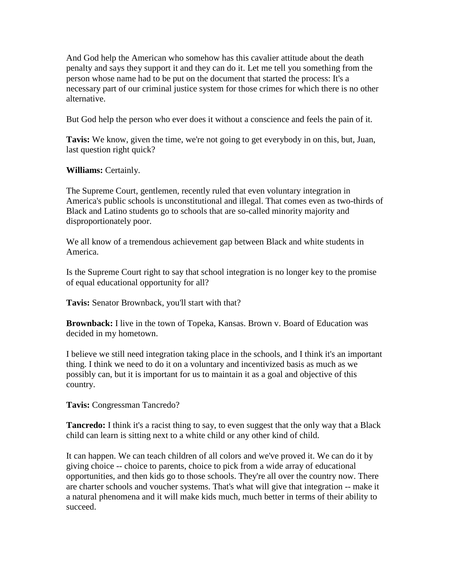And God help the American who somehow has this cavalier attitude about the death penalty and says they support it and they can do it. Let me tell you something from the person whose name had to be put on the document that started the process: It's a necessary part of our criminal justice system for those crimes for which there is no other alternative.

But God help the person who ever does it without a conscience and feels the pain of it.

**Tavis:** We know, given the time, we're not going to get everybody in on this, but, Juan, last question right quick?

**Williams:** Certainly.

The Supreme Court, gentlemen, recently ruled that even voluntary integration in America's public schools is unconstitutional and illegal. That comes even as two-thirds of Black and Latino students go to schools that are so-called minority majority and disproportionately poor.

We all know of a tremendous achievement gap between Black and white students in America.

Is the Supreme Court right to say that school integration is no longer key to the promise of equal educational opportunity for all?

**Tavis:** Senator Brownback, you'll start with that?

**Brownback:** I live in the town of Topeka, Kansas. Brown v. Board of Education was decided in my hometown.

I believe we still need integration taking place in the schools, and I think it's an important thing. I think we need to do it on a voluntary and incentivized basis as much as we possibly can, but it is important for us to maintain it as a goal and objective of this country.

**Tavis:** Congressman Tancredo?

**Tancredo:** I think it's a racist thing to say, to even suggest that the only way that a Black child can learn is sitting next to a white child or any other kind of child.

It can happen. We can teach children of all colors and we've proved it. We can do it by giving choice -- choice to parents, choice to pick from a wide array of educational opportunities, and then kids go to those schools. They're all over the country now. There are charter schools and voucher systems. That's what will give that integration -- make it a natural phenomena and it will make kids much, much better in terms of their ability to succeed.